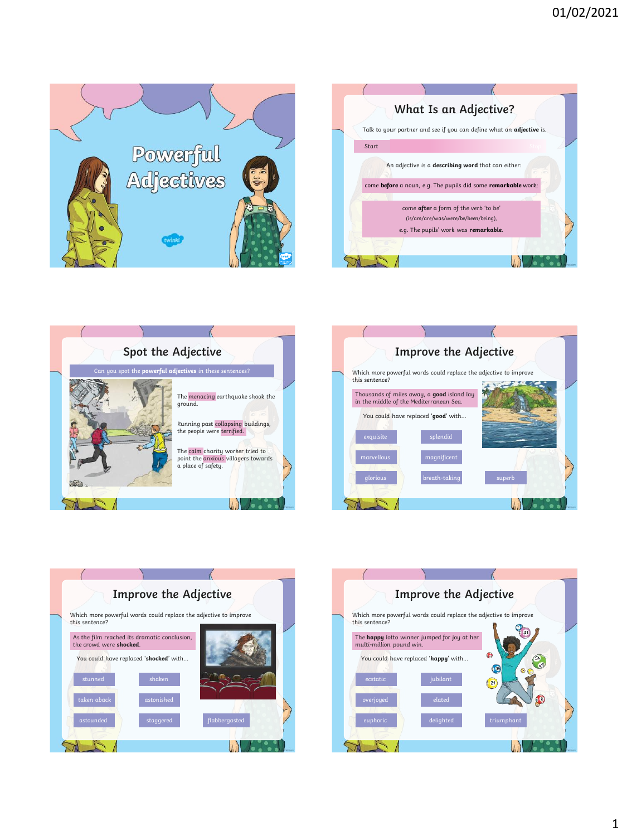